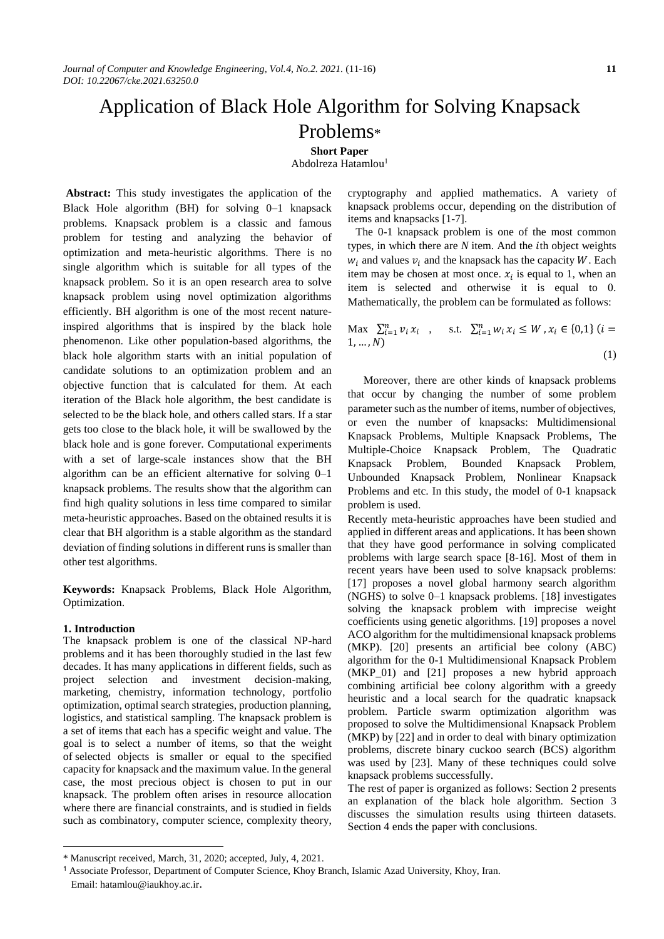# Application of Black Hole Algorithm for Solving Knapsack Problems\*

**Short Paper**

Abdolreza Hatamlou<sup>1</sup>

**Abstract:** This study investigates the application of the Black Hole algorithm (BH) for solving 0–1 knapsack problems. Knapsack problem is a classic and famous problem for testing and analyzing the behavior of optimization and meta-heuristic algorithms. There is no single algorithm which is suitable for all types of the knapsack problem. So it is an open research area to solve knapsack problem using novel optimization algorithms efficiently. BH algorithm is one of the most recent natureinspired algorithms that is inspired by the black hole phenomenon. Like other population-based algorithms, the black hole algorithm starts with an initial population of candidate solutions to an optimization problem and an objective function that is calculated for them. At each iteration of the Black hole algorithm, the best candidate is selected to be the black hole, and others called stars. If a star gets too close to the black hole, it will be swallowed by the black hole and is gone forever. Computational experiments with a set of large-scale instances show that the BH algorithm can be an efficient alternative for solving 0–1 knapsack problems. The results show that the algorithm can find high quality solutions in less time compared to similar meta-heuristic approaches. Based on the obtained results it is clear that BH algorithm is a stable algorithm as the standard deviation of finding solutions in different runs is smaller than other test algorithms.

**Keywords:** Knapsack Problems, Black Hole Algorithm, Optimization.

### **1. Introduction**

-

The knapsack problem is one of the classical NP-hard problems and it has been thoroughly studied in the last few decades. It has many applications in different fields, such as project selection and investment decision-making, marketing, chemistry, information technology, portfolio optimization, optimal search strategies, production planning, logistics, and statistical sampling. The knapsack problem is a set of items that each has a specific weight and value. The goal is to select a number of items, so that the weight of selected objects is smaller or equal to the specified capacity for knapsack and the maximum value. In the general case, the most precious object is chosen to put in our knapsack. The problem often arises in [resource allocation](http://en.wikipedia.org/wiki/Resource_allocation) where there are financial constraints, and is studied in fields such as [combinatory,](http://en.wikipedia.org/wiki/Combinatorics) [computer science,](http://en.wikipedia.org/wiki/Computer_science) [complexity theory,](http://en.wikipedia.org/wiki/Computational_complexity_theory)

[cryptography](http://en.wikipedia.org/wiki/Cryptography) and [applied mathematics.](http://en.wikipedia.org/wiki/Applied_mathematics) A variety of knapsack problems occur, depending on the distribution of items and knapsacks [1-7].

The 0-1 knapsack problem is one of the most common types, in which there are *N* item. And the *i*th object weights  $w_i$  and values  $v_i$  and the knapsack has the capacity W. Each item may be chosen at most once.  $x_i$  is equal to 1, when an item is selected and otherwise it is equal to 0. Mathematically, the problem can be formulated as follows:

$$
\begin{aligned} \text{Max} \ \sum_{i=1}^{n} v_i \, x_i \quad , \qquad \text{s.t.} \ \sum_{i=1}^{n} w_i \, x_i \le W \, , x_i \in \{0,1\} \, (i=1, \dots, N) \end{aligned} \tag{1}
$$

Moreover, there are other kinds of knapsack problems that occur by changing the number of some problem parameter such as the number of items, number of objectives, or even the number of knapsacks: [Multidimensional](http://link.springer.com/chapter/10.1007/978-3-540-24777-7_9)  [Knapsack Problems,](http://link.springer.com/chapter/10.1007/978-3-540-24777-7_9) [Multiple Knapsack Problems,](http://link.springer.com/chapter/10.1007/978-3-540-24777-7_10) [The](http://link.springer.com/chapter/10.1007/978-3-540-24777-7_11)  [Multiple-Choice Knapsack Problem,](http://link.springer.com/chapter/10.1007/978-3-540-24777-7_11) [The Quadratic](http://link.springer.com/chapter/10.1007/978-3-540-24777-7_12)  [Knapsack Problem,](http://link.springer.com/chapter/10.1007/978-3-540-24777-7_12) Bounded Knapsack Problem, Unbounded Knapsack Problem, Nonlinear Knapsack Problems and etc. In this study, the model of 0-1 knapsack problem is used.

Recently meta-heuristic approaches have been studied and applied in different areas and applications. It has been shown that they have good performance in solving complicated problems with large search space [8-16]. Most of them in recent years have been used to solve knapsack problems: [17] proposes a novel global harmony search algorithm (NGHS) to solve 0–1 knapsack problems. [18] investigates solving the knapsack problem with imprecise weight coefficients using genetic algorithms. [19] proposes a novel ACO algorithm for the multidimensional knapsack problems (MKP). [20] presents an artificial bee colony (ABC) algorithm for the 0-1 Multidimensional Knapsack Problem (MKP\_01) and [21] proposes a new hybrid approach combining artificial bee colony algorithm with a greedy heuristic and a local search for the quadratic knapsack problem. Particle swarm optimization algorithm was proposed to solve the Multidimensional Knapsack Problem (MKP) by [22] and in order to deal with binary optimization problems, discrete binary cuckoo search (BCS) algorithm was used by [23]. Many of these techniques could solve knapsack problems successfully.

The rest of paper is organized as follows: Section 2 presents an explanation of the black hole algorithm. Section 3 discusses the simulation results using thirteen datasets. Section 4 ends the paper with conclusions.

<sup>\*</sup> Manuscript received, March, 31, 2020; accepted, July, 4, 2021.

<sup>1</sup> Associate Professor, Department of Computer Science, Khoy Branch, Islamic Azad University, Khoy, Iran. Email: hatamlou@iaukhoy.ac.ir.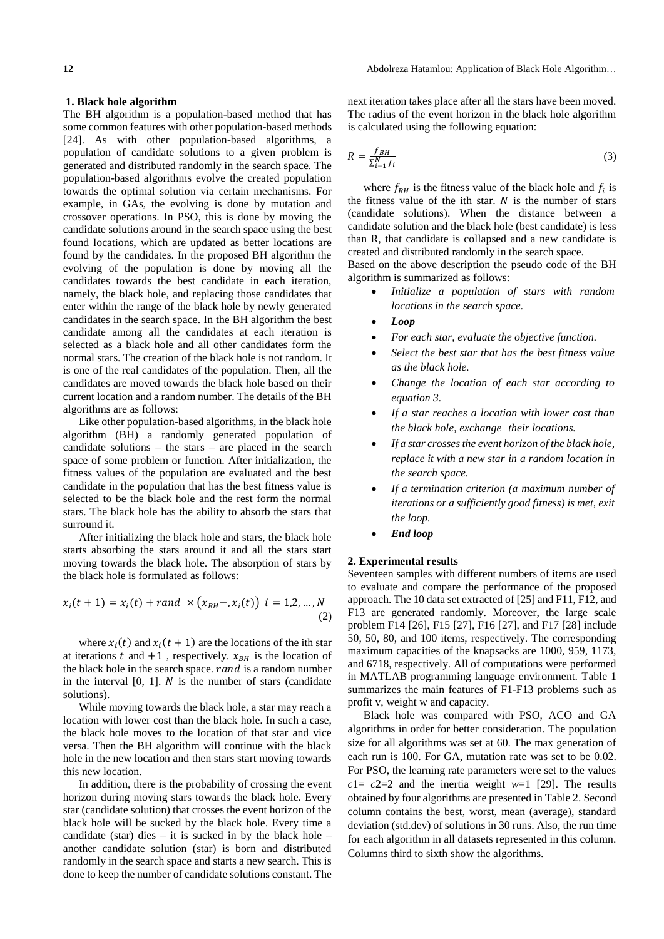#### **1. Black hole algorithm**

The BH algorithm is a population-based method that has some common features with other population-based methods [24]. As with other population-based algorithms, a population of candidate solutions to a given problem is generated and distributed randomly in the search space. The population-based algorithms evolve the created population towards the optimal solution via certain mechanisms. For example, in GAs, the evolving is done by mutation and crossover operations. In PSO, this is done by moving the candidate solutions around in the search space using the best found locations, which are updated as better locations are found by the candidates. In the proposed BH algorithm the evolving of the population is done by moving all the candidates towards the best candidate in each iteration, namely, the black hole, and replacing those candidates that enter within the range of the black hole by newly generated candidates in the search space. In the BH algorithm the best candidate among all the candidates at each iteration is selected as a black hole and all other candidates form the normal stars. The creation of the black hole is not random. It is one of the real candidates of the population. Then, all the candidates are moved towards the black hole based on their current location and a random number. The details of the BH algorithms are as follows:

Like other population-based algorithms, in the black hole algorithm (BH) a randomly generated population of candidate solutions – the stars – are placed in the search space of some problem or function. After initialization, the fitness values of the population are evaluated and the best candidate in the population that has the best fitness value is selected to be the black hole and the rest form the normal stars. The black hole has the ability to absorb the stars that surround it.

After initializing the black hole and stars, the black hole starts absorbing the stars around it and all the stars start moving towards the black hole. The absorption of stars by the black hole is formulated as follows:

$$
x_i(t + 1) = x_i(t) + rand \times (x_{BH} -, x_i(t)) \quad i = 1, 2, ..., N
$$
\n(2)

where  $x_i(t)$  and  $x_i(t + 1)$  are the locations of the ith star at iterations t and  $+1$ , respectively.  $x_{BH}$  is the location of the black hole in the search space. rand is a random number in the interval  $[0, 1]$ . N is the number of stars (candidate solutions).

While moving towards the black hole, a star may reach a location with lower cost than the black hole. In such a case, the black hole moves to the location of that star and vice versa. Then the BH algorithm will continue with the black hole in the new location and then stars start moving towards this new location.

In addition, there is the probability of crossing the event horizon during moving stars towards the black hole. Every star (candidate solution) that crosses the event horizon of the black hole will be sucked by the black hole. Every time a candidate (star) dies – it is sucked in by the black hole – another candidate solution (star) is born and distributed randomly in the search space and starts a new search. This is done to keep the number of candidate solutions constant. The

next iteration takes place after all the stars have been moved. The radius of the event horizon in the black hole algorithm is calculated using the following equation:

$$
R = \frac{f_{BH}}{\sum_{i=1}^{N} f_i} \tag{3}
$$

where  $f_{BH}$  is the fitness value of the black hole and  $f_i$  is the fitness value of the ith star.  $N$  is the number of stars (candidate solutions). When the distance between a candidate solution and the black hole (best candidate) is less than R, that candidate is collapsed and a new candidate is created and distributed randomly in the search space.

Based on the above description the pseudo code of the BH algorithm is summarized as follows:

- *Initialize a population of stars with random locations in the search space.*
- *Loop*
- *For each star, evaluate the objective function.*
- *Select the best star that has the best fitness value as the black hole.*
- *Change the location of each star according to equation 3.*
- *If a star reaches a location with lower cost than the black hole, exchange their locations.*
- *If a star crosses the event horizon of the black hole, replace it with a new star in a random location in the search space.*
- *If a termination criterion (a maximum number of iterations or a sufficiently good fitness) is met, exit the loop.*
- *End loop*

#### **2. Experimental results**

Seventeen samples with different numbers of items are used to evaluate and compare the performance of the proposed approach. The 10 data set extracted of [25] and F11, F12, and F13 are generated randomly. Moreover, the large scale problem F14 [26], F15 [27], F16 [27], and F17 [28] include 50, 50, 80, and 100 items, respectively. The corresponding maximum capacities of the knapsacks are 1000, 959, 1173, and 6718, respectively. All of computations were performed in MATLAB programming language environment. Table 1 summarizes the main features of F1-F13 problems such as profit v, weight w and capacity.

Black hole was compared with PSO, ACO and GA algorithms in order for better consideration. The population size for all algorithms was set at 60. The max generation of each run is 100. For GA, mutation rate was set to be 0.02. For PSO, the learning rate parameters were set to the values *c*1= *c*2=2 and the inertia weight  $w=1$  [29]. The results obtained by four algorithms are presented in Table 2. Second column contains the best, worst, mean (average), standard deviation (std.dev) of solutions in 30 runs. Also, the run time for each algorithm in all datasets represented in this column. Columns third to sixth show the algorithms.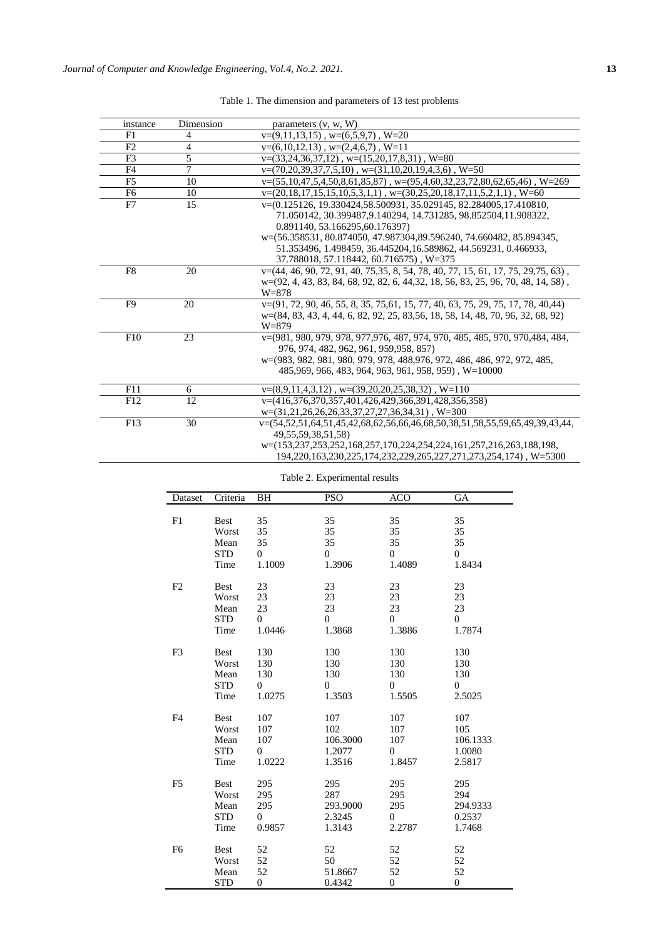| instance       | Dimension      | parameters $(v, w, W)$                                                                                                                                                                                                                                       |
|----------------|----------------|--------------------------------------------------------------------------------------------------------------------------------------------------------------------------------------------------------------------------------------------------------------|
| F1             | 4              | $v=(9,11,13,15)$ , $w=(6,5,9,7)$ , $W=20$                                                                                                                                                                                                                    |
| F <sub>2</sub> | $\overline{4}$ | $v=(6,10,12,13)$ , $w=(2,4,6,7)$ , $W=11$                                                                                                                                                                                                                    |
| F <sub>3</sub> | 5              | $v=(33,24,36,37,12)$ , $w=(15,20,17,8,31)$ , $W=80$                                                                                                                                                                                                          |
| F4             | 7              | $v=(70,20,39,37,7,5,10)$ , $w=(31,10,20,19,4,3,6)$ , $W=50$                                                                                                                                                                                                  |
| F <sub>5</sub> | 10             | $v=(55,10,47,5,4,50,8,61,85,87)$ , $w=(95,4,60,32,23,72,80,62,65,46)$ , $W=269$                                                                                                                                                                              |
| F <sub>6</sub> | 10             | $v=(20,18,17,15,15,10,5,3,1,1)$ , $w=(30,25,20,18,17,11,5,2,1,1)$ , $W=60$                                                                                                                                                                                   |
| F7             | 15             | v= $(0.125126, 19.330424, 58.500931, 35.029145, 82.284005, 17.410810,$<br>71.050142, 30.399487, 9.140294, 14.731285, 98.852504, 11.908322,<br>0.891140, 53.166295, 60.176397)<br>w=(56.358531, 80.874050, 47.987304,89.596240, 74.660482, 85.894345,         |
|                |                | 51.353496, 1.498459, 36.445204, 16.589862, 44.569231, 0.466933,<br>$37.788018, 57.118442, 60.716575$ , W=375                                                                                                                                                 |
| F <sub>8</sub> | 20             | $v=(44, 46, 90, 72, 91, 40, 75, 35, 8, 54, 78, 40, 77, 15, 61, 17, 75, 29, 75, 63)$ ,<br>w=(92, 4, 43, 83, 84, 68, 92, 82, 6, 44, 32, 18, 56, 83, 25, 96, 70, 48, 14, 58),<br>$W = 878$                                                                      |
| F <sub>9</sub> | 20             | v=(91, 72, 90, 46, 55, 8, 35, 75, 61, 15, 77, 40, 63, 75, 29, 75, 17, 78, 40, 44)<br>w=(84, 83, 43, 4, 44, 6, 82, 92, 25, 83, 56, 18, 58, 14, 48, 70, 96, 32, 68, 92)<br>$W = 879$                                                                           |
| F10            | 23             | y=(981, 980, 979, 978, 977, 976, 487, 974, 970, 485, 485, 970, 970, 484, 484,<br>976, 974, 482, 962, 961, 959, 958, 857)<br>w=(983, 982, 981, 980, 979, 978, 488, 976, 972, 486, 486, 972, 972, 485,<br>485,969, 966, 483, 964, 963, 961, 958, 959), W=10000 |
| F11            | 6              | $v=(8,9,11,4,3,12)$ , $w=(39,20,20,25,38,32)$ , $W=110$                                                                                                                                                                                                      |
| F12            | 12             | y=(416.376.370.357.401.426.429.366.391.428.356.358)<br>$w=(31,21,26,26,26,33,37,27,27,36,34,31)$ , $W=300$                                                                                                                                                   |
| F13            | 30             | v=(54,52,51,64,51,45,42,68,62,56,66,46,68,50,38,51,58,55,59,65,49,39,43,44,<br>49.55.59.38.51.58)<br>w=(153,237,253,252,168,257,170,224,254,224,161,257,216,263,188,198,<br>194,220,163,230,225,174,232,229,265,227,271,273,254,174), W=5300                 |

Table 1. The dimension and parameters of 13 test problems

| Dataset        | Criteria    | BH             | <b>PSO</b>       | <b>ACO</b>     | GA             |
|----------------|-------------|----------------|------------------|----------------|----------------|
|                |             |                |                  |                |                |
| F1             | <b>Best</b> | 35             | 35               | 35             | 35             |
|                | Worst       | 35             | 35               | 35             | 35             |
|                | Mean        | 35             | 35               | 35             | 35             |
|                | <b>STD</b>  | $\Omega$       | $\overline{0}$   | $\overline{0}$ | $\Omega$       |
|                | Time        | 1.1009         | 1.3906           | 1.4089         | 1.8434         |
|                |             |                |                  |                |                |
| F <sub>2</sub> | <b>Best</b> | 23             | 23               | 23             | 23             |
|                | Worst       | 23             | 23               | 23             | 23             |
|                | Mean        | 23             | 23               | 23             | 23             |
|                | <b>STD</b>  | $\Omega$       | $\Omega$         | $\Omega$       | $\Omega$       |
|                | Time        | 1.0446         | 1.3868           | 1.3886         | 1.7874         |
|                |             |                |                  |                |                |
| F <sub>3</sub> | <b>Best</b> | 130            | 130              | 130            | 130            |
|                | Worst       | 130            | 130              | 130            | 130            |
|                | Mean        | 130            | 130              | 130            | 130            |
|                | <b>STD</b>  | $\overline{0}$ | $\boldsymbol{0}$ | $\overline{0}$ | $\overline{0}$ |
|                | Time        | 1.0275         | 1.3503           | 1.5505         | 2.5025         |
| F <sub>4</sub> | <b>Best</b> | 107            | 107              | 107            | 107            |
|                | Worst       | 107            | 102              | 107            | 105            |
|                | Mean        | 107            | 106.3000         | 107            | 106.1333       |
|                | <b>STD</b>  | $\overline{0}$ | 1.2077           | $\overline{0}$ | 1.0080         |
|                | Time        | 1.0222         | 1.3516           | 1.8457         | 2.5817         |
|                |             |                |                  |                |                |
| F <sub>5</sub> | <b>Best</b> | 295            | 295              | 295            | 295            |
|                | Worst       | 295            | 287              | 295            | 294            |
|                | Mean        | 295            | 293.9000         | 295            | 294.9333       |
|                | <b>STD</b>  | $\Omega$       | 2.3245           | $\Omega$       | 0.2537         |
|                | Time        | 0.9857         | 1.3143           | 2.2787         | 1.7468         |
|                |             |                |                  |                |                |
| F <sub>6</sub> | <b>Best</b> | 52             | 52               | 52             | 52             |
|                | Worst       | 52             | 50               | 52             | 52             |
|                | Mean        | 52             | 51.8667          | 52             | 52             |
|                | <b>STD</b>  | $\overline{0}$ | 0.4342           | $\overline{0}$ | $\mathbf{0}$   |

Table 2. Experimental results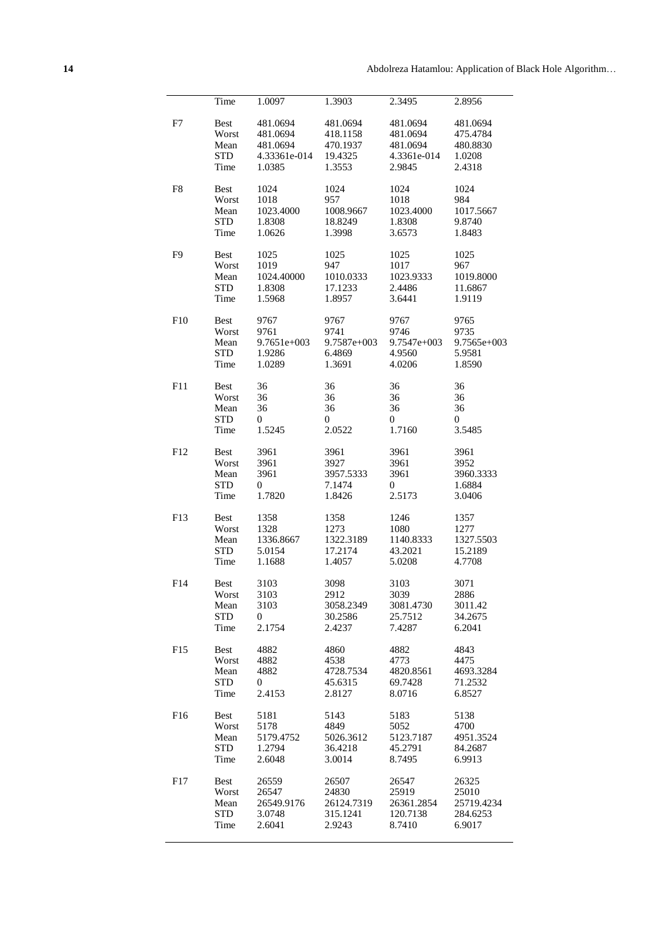|                | Time        | 1.0097        | 1.3903      | 2.3495        | 2.8956        |
|----------------|-------------|---------------|-------------|---------------|---------------|
| F7             | <b>Best</b> | 481.0694      | 481.0694    | 481.0694      | 481.0694      |
|                | Worst       | 481.0694      | 418.1158    | 481.0694      | 475.4784      |
|                | Mean        | 481.0694      | 470.1937    | 481.0694      | 480.8830      |
|                | <b>STD</b>  | 4.33361e-014  | 19.4325     | 4.3361e-014   | 1.0208        |
|                | Time        | 1.0385        | 1.3553      | 2.9845        | 2.4318        |
| F <sub>8</sub> | <b>Best</b> | 1024          | 1024        | 1024          | 1024          |
|                | Worst       | 1018          | 957         | 1018          | 984           |
|                | Mean        | 1023.4000     | 1008.9667   | 1023.4000     | 1017.5667     |
|                | <b>STD</b>  | 1.8308        | 18.8249     | 1.8308        | 9.8740        |
|                | Time        | 1.0626        | 1.3998      | 3.6573        | 1.8483        |
| F <sub>9</sub> | <b>Best</b> | 1025          | 1025        | 1025          | 1025          |
|                | Worst       | 1019          | 947         | 1017          | 967           |
|                | Mean        | 1024.40000    | 1010.0333   | 1023.9333     | 1019.8000     |
|                | <b>STD</b>  | 1.8308        | 17.1233     | 2.4486        | 11.6867       |
|                | Time        | 1.5968        | 1.8957      | 3.6441        | 1.9119        |
| F10            | <b>Best</b> | 9767          | 9767        | 9767          | 9765          |
|                | Worst       | 9761          | 9741        | 9746          | 9735          |
|                | Mean        | $9.7651e+003$ | 9.7587e+003 | $9.7547e+003$ | $9.7565e+003$ |
|                | <b>STD</b>  | 1.9286        | 6.4869      | 4.9560        | 5.9581        |
|                | Time        | 1.0289        | 1.3691      | 4.0206        | 1.8590        |
| F11            | <b>Best</b> | 36            | 36          | 36            | 36            |
|                | Worst       | 36            | 36          | 36            | 36            |
|                | Mean        | 36            | 36          | 36            | 36            |
|                | <b>STD</b>  | 0             | 0           | 0             | 0             |
|                | Time        | 1.5245        | 2.0522      | 1.7160        | 3.5485        |
| F12            | <b>Best</b> | 3961          | 3961        | 3961          | 3961          |
|                | Worst       | 3961          | 3927        | 3961          | 3952          |
|                | Mean        | 3961          | 3957.5333   | 3961          | 3960.3333     |
|                | <b>STD</b>  | 0             | 7.1474      | 0             | 1.6884        |
|                | Time        | 1.7820        | 1.8426      | 2.5173        | 3.0406        |
| F13            | <b>Best</b> | 1358          | 1358        | 1246          | 1357          |
|                | Worst       | 1328          | 1273        | 1080          | 1277          |
|                | Mean        | 1336.8667     | 1322.3189   | 1140.8333     | 1327.5503     |
|                | <b>STD</b>  | 5.0154        | 17.2174     | 43.2021       | 15.2189       |
|                | Time        | 1.1688        | 1.4057      | 5.0208        | 4.7708        |
| F14            | <b>Best</b> | 3103          | 3098        | 3103          | 3071          |
|                | Worst       | 3103          | 2912        | 3039          | 2886          |
|                | Mean        | 3103          | 3058.2349   | 3081.4730     | 3011.42       |
|                | <b>STD</b>  | 0             | 30.2586     | 25.7512       | 34.2675       |
|                | Time        | 2.1754        | 2.4237      | 7.4287        | 6.2041        |
| F15            | <b>Best</b> | 4882          | 4860        | 4882          | 4843          |
|                | Worst       | 4882          | 4538        | 4773          | 4475          |
|                | Mean        | 4882          | 4728.7534   | 4820.8561     | 4693.3284     |
|                | <b>STD</b>  | 0             | 45.6315     | 69.7428       | 71.2532       |
|                | Time        | 2.4153        | 2.8127      | 8.0716        | 6.8527        |
| F16            | <b>Best</b> | 5181          | 5143        | 5183          | 5138          |
|                | Worst       | 5178          | 4849        | 5052          | 4700          |
|                | Mean        | 5179.4752     | 5026.3612   | 5123.7187     | 4951.3524     |
|                | <b>STD</b>  | 1.2794        | 36.4218     | 45.2791       | 84.2687       |
|                | Time        | 2.6048        | 3.0014      | 8.7495        | 6.9913        |
| F17            | <b>Best</b> | 26559         | 26507       | 26547         | 26325         |
|                | Worst       | 26547         | 24830       | 25919         | 25010         |
|                | Mean        | 26549.9176    | 26124.7319  | 26361.2854    | 25719.4234    |
|                | <b>STD</b>  | 3.0748        | 315.1241    | 120.7138      | 284.6253      |
|                | Time        | 2.6041        | 2.9243      | 8.7410        | 6.9017        |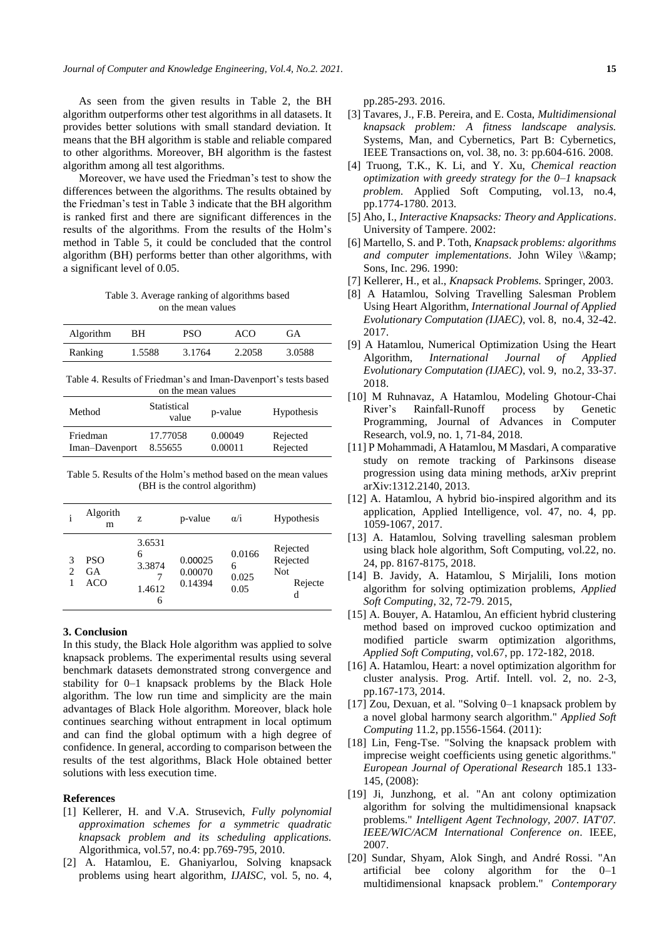As seen from the given results in Table 2, the BH algorithm outperforms other test algorithms in all datasets. It provides better solutions with small standard deviation. It means that the BH algorithm is stable and reliable compared to other algorithms. Moreover, BH algorithm is the fastest algorithm among all test algorithms.

Moreover, we have used the Friedman's test to show the differences between the algorithms. The results obtained by the Friedman's test in Table 3 indicate that the BH algorithm is ranked first and there are significant differences in the results of the algorithms. From the results of the Holm's method in Table 5, it could be concluded that the control algorithm (BH) performs better than other algorithms, with a significant level of 0.05.

Table 3. Average ranking of algorithms based on the mean values

| Algorithm | BН     | PSO    | ACO    | GА     |
|-----------|--------|--------|--------|--------|
| Ranking   | 1.5588 | 3.1764 | 2.2058 | 3.0588 |

Table 4. Results of Friedman's and Iman-Davenport's tests based on the mean values

| Method         | Statistical<br>value | p-value | Hypothesis |
|----------------|----------------------|---------|------------|
| Friedman       | 17.77058             | 0.00049 | Rejected   |
| Iman-Davenport | 8.55655              | 0.00011 | Rejected   |

Table 5. Results of the Holm's method based on the mean values (BH is the control algorithm)

|        | Algorith<br>m                         | z                               | p-value                       | $\alpha/i$                   | Hypothesis                                  |
|--------|---------------------------------------|---------------------------------|-------------------------------|------------------------------|---------------------------------------------|
| 3<br>2 | <b>PSO</b><br><b>GA</b><br><b>ACO</b> | 3.6531<br>6<br>3.3874<br>1.4612 | 0.00025<br>0.00070<br>0.14394 | 0.0166<br>6<br>0.025<br>0.05 | Rejected<br>Rejected<br>Not<br>Rejecte<br>d |

## **3. Conclusion**

In this study, the Black Hole algorithm was applied to solve knapsack problems. The experimental results using several benchmark datasets demonstrated strong convergence and stability for 0–1 knapsack problems by the Black Hole algorithm. The low run time and simplicity are the main advantages of Black Hole algorithm. Moreover, black hole continues searching without entrapment in local optimum and can find the global optimum with a high degree of confidence. In general, according to comparison between the results of the test algorithms, Black Hole obtained better solutions with less execution time.

#### **References**

- [1] Kellerer, H. and V.A. Strusevich, *Fully polynomial approximation schemes for a symmetric quadratic knapsack problem and its scheduling applications.* Algorithmica, vol.57, no.4: pp.769-795, 2010.
- [2] A. Hatamlou, E. Ghaniyarlou, Solving knapsack problems using heart algorithm, *IJAISC*, vol. 5, no. 4,

pp.285-293. 2016.

- [3] Tavares, J., F.B. Pereira, and E. Costa, *Multidimensional knapsack problem: A fitness landscape analysis.* Systems, Man, and Cybernetics, Part B: Cybernetics, IEEE Transactions on, vol. 38, no. 3: pp.604-616. 2008.
- [4] Truong, T.K., K. Li, and Y. Xu, *Chemical reaction optimization with greedy strategy for the 0–1 knapsack problem.* Applied Soft Computing, vol.13, no.4, pp.1774-1780. 2013.
- [5] Aho, I., *Interactive Knapsacks: Theory and Applications*. University of Tampere. 2002:
- [6] Martello, S. and P. Toth, *Knapsack problems: algorithms*  and computer implementations. John Wiley \\& Sons, Inc. 296. 1990:
- [7] Kellerer, H., et al., *Knapsack Problems.* Springer, 2003.
- [8] A Hatamlou, Solving Travelling Salesman Problem Using Heart Algorithm, *International Journal of Applied Evolutionary Computation (IJAEC)*, vol. 8, no.4, 32-42. 2017.
- [9] A Hatamlou, Numerical Optimization Using the Heart Algorithm, *International Journal of Applied Evolutionary Computation (IJAEC)*, vol. 9, no.2, 33-37. 2018.
- [10] M Ruhnavaz, A Hatamlou, Modeling Ghotour-Chai River's Rainfall-Runoff process by Genetic Programming, Journal of Advances in Computer Research, vol.9, no. 1, 71-84, 2018.
- [11] P Mohammadi, A Hatamlou, M Masdari, A comparative study on remote tracking of Parkinsons disease progression using data mining methods, arXiv preprint arXiv:1312.2140, 2013.
- [12] A. Hatamlou, A hybrid bio-inspired algorithm and its application, Applied Intelligence, vol. 47, no. 4, pp. 1059-1067, 2017.
- [13] A. Hatamlou, Solving travelling salesman problem using black hole algorithm, Soft Computing, vol.22, no. 24, pp. 8167-8175, 2018.
- [14] B. Javidy, A. Hatamlou, S Mirjalili, Ions motion algorithm for solving optimization problems, *Applied Soft Computing*, 32, 72-79. 2015,
- [15] A. Bouyer, A. Hatamlou, An efficient hybrid clustering method based on improved cuckoo optimization and modified particle swarm optimization algorithms, *Applied Soft Computing,* vol.67, pp. 172-182, 2018.
- [16] A. Hatamlou, Heart: a novel optimization algorithm for cluster analysis. Prog. Artif. Intell. vol. 2, no. 2-3, pp.167-173, 2014.
- [17] Zou, Dexuan, et al. "Solving 0–1 knapsack problem by a novel global harmony search algorithm." *Applied Soft Computing* 11.2, pp.1556-1564. (2011):
- [18] Lin, Feng-Tse. "Solving the knapsack problem with imprecise weight coefficients using genetic algorithms." *European Journal of Operational Research* 185.1 133- 145, (2008):
- [19] Ji, Junzhong, et al. "An ant colony optimization algorithm for solving the multidimensional knapsack problems." *Intelligent Agent Technology, 2007. IAT'07. IEEE/WIC/ACM International Conference on*. IEEE, 2007.
- [20] Sundar, Shyam, Alok Singh, and André Rossi. "An artificial bee colony algorithm for the 0–1 multidimensional knapsack problem." *Contemporary*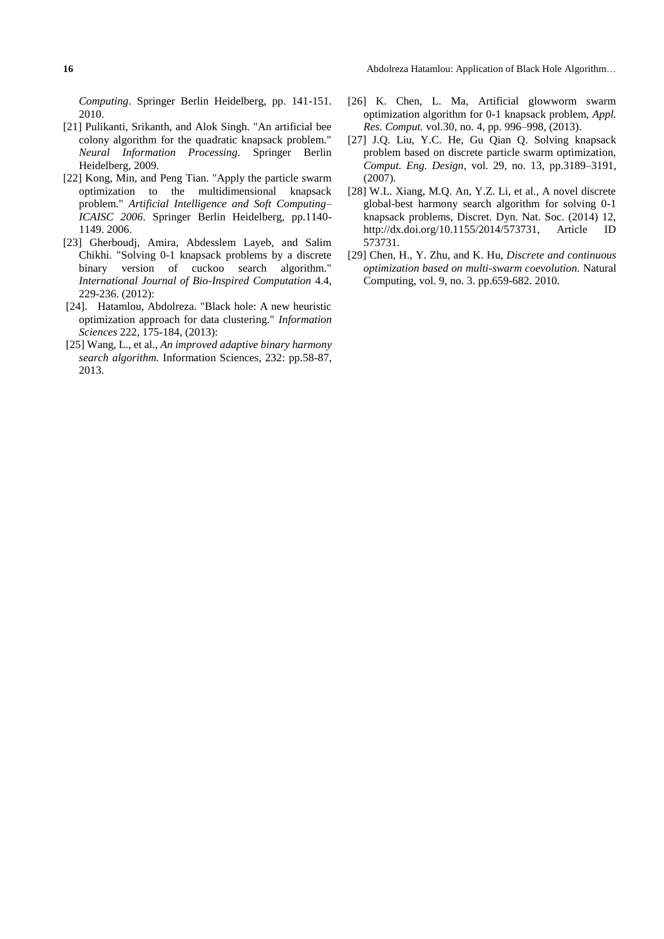**16** Abdolreza Hatamlou: Application of Black Hole Algorithm...

*Computing*. Springer Berlin Heidelberg, pp. 141-151. 2010.

- [21] Pulikanti, Srikanth, and Alok Singh. "An artificial bee colony algorithm for the quadratic knapsack problem." *Neural Information Processing*. Springer Berlin Heidelberg, 2009.
- [22] Kong, Min, and Peng Tian. "Apply the particle swarm optimization to the multidimensional knapsack problem." *Artificial Intelligence and Soft Computing– ICAISC 2006*. Springer Berlin Heidelberg, pp.1140- 1149. 2006.
- [23] Gherboudj, Amira, Abdesslem Layeb, and Salim Chikhi. "Solving 0-1 knapsack problems by a discrete binary version of cuckoo search algorithm." *International Journal of Bio-Inspired Computation* 4.4, 229-236. (2012):
- [24]. Hatamlou, Abdolreza. "Black hole: A new heuristic optimization approach for data clustering." *Information Sciences* 222, 175-184, (2013):
- [25] Wang, L., et al., *An improved adaptive binary harmony search algorithm.* Information Sciences, 232: pp.58-87, 2013.
- [26] K. Chen, L. Ma, Artificial glowworm swarm optimization algorithm for 0-1 knapsack problem, *Appl. Res. Comput.* vol.30, no. 4, pp. 996–998, (2013).
- [27] J.Q. Liu, Y.C. He, Gu Qian Q. Solving knapsack problem based on discrete particle swarm optimization, *Comput. Eng. Design*, vol. 29, no. 13, pp.3189–3191, (2007).
- [28] W.L. Xiang, M.Q. An, Y.Z. Li, et al., A novel discrete global-best harmony search algorithm for solving 0-1 knapsack problems, Discret. Dyn. Nat. Soc. (2014) 12, http://dx.doi.org/10.1155/2014/573731, Article ID 573731.
- [29] Chen, H., Y. Zhu, and K. Hu, *Discrete and continuous optimization based on multi-swarm coevolution.* Natural Computing, vol. 9, no. 3. pp.659-682. 2010.